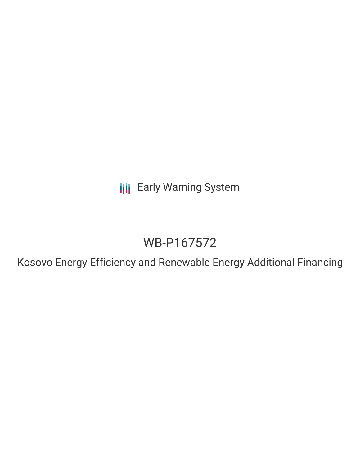**III** Early Warning System

# WB-P167572

Kosovo Energy Efficiency and Renewable Energy Additional Financing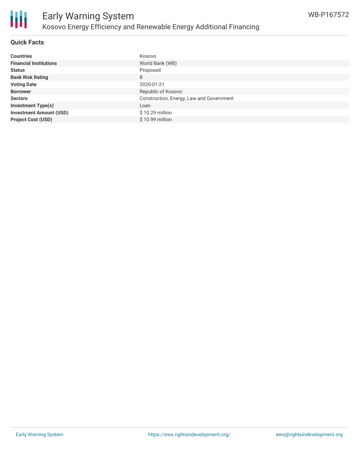

# **Quick Facts**

| <b>Countries</b>               | Kosovo                                   |
|--------------------------------|------------------------------------------|
| <b>Financial Institutions</b>  | World Bank (WB)                          |
| <b>Status</b>                  | Proposed                                 |
| <b>Bank Risk Rating</b>        | B                                        |
| <b>Voting Date</b>             | 2020-01-21                               |
| <b>Borrower</b>                | Republic of Kosovo                       |
| <b>Sectors</b>                 | Construction, Energy, Law and Government |
| <b>Investment Type(s)</b>      | Loan                                     |
| <b>Investment Amount (USD)</b> | $$10.29$ million                         |
| <b>Project Cost (USD)</b>      | \$10.99 million                          |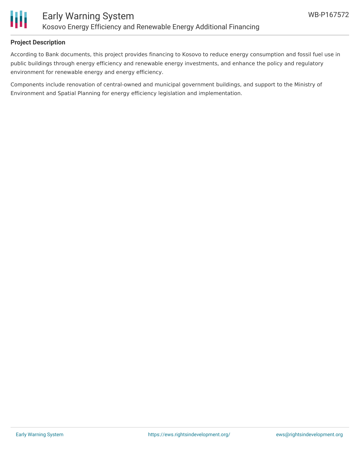

### **Project Description**

According to Bank documents, this project provides financing to Kosovo to reduce energy consumption and fossil fuel use in public buildings through energy efficiency and renewable energy investments, and enhance the policy and regulatory environment for renewable energy and energy efficiency.

Components include renovation of central-owned and municipal government buildings, and support to the Ministry of Environment and Spatial Planning for energy efficiency legislation and implementation.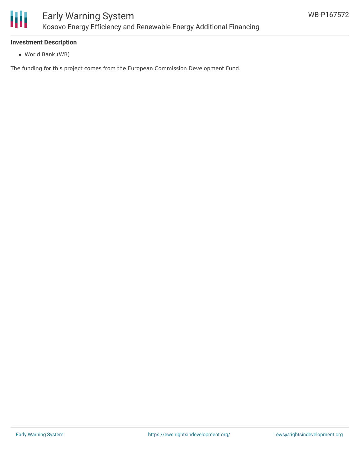

# **Investment Description**

World Bank (WB)

The funding for this project comes from the European Commission Development Fund.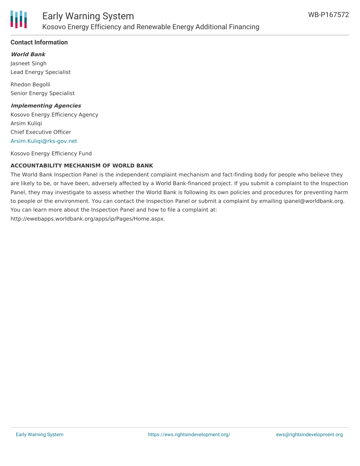

# **Contact Information**

**World Bank**

Jasneet Singh Lead Energy Specialist

Rhedon Begolli Senior Energy Specialist

#### **Implementing Agencies**

Kosovo Energy Efficiency Agency Arsim Kuliqi Chief Executive Officer [Arsim.Kuliqi@rks-gov.net](mailto:Arsim.Kuliqi@rks-gov.net)

Kosovo Energy Efficiency Fund

# **ACCOUNTABILITY MECHANISM OF WORLD BANK**

The World Bank Inspection Panel is the independent complaint mechanism and fact-finding body for people who believe they are likely to be, or have been, adversely affected by a World Bank-financed project. If you submit a complaint to the Inspection Panel, they may investigate to assess whether the World Bank is following its own policies and procedures for preventing harm to people or the environment. You can contact the Inspection Panel or submit a complaint by emailing ipanel@worldbank.org. You can learn more about the Inspection Panel and how to file a complaint at: http://ewebapps.worldbank.org/apps/ip/Pages/Home.aspx.